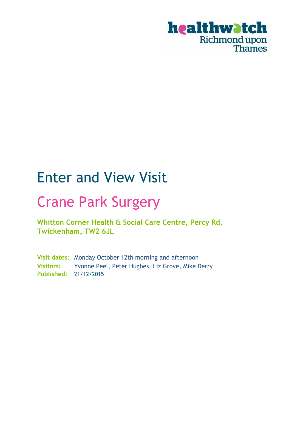

# Enter and View Visit

# Crane Park Surgery

**Whitton Corner Health & Social Care Centre, Percy Rd, Twickenham, TW2 6JL**

**Visit dates:** Monday October 12th morning and afternoon **Visitors:** Yvonne Peel, Peter Hughes, Liz Grove, Mike Derry **Published:** 21/12/2015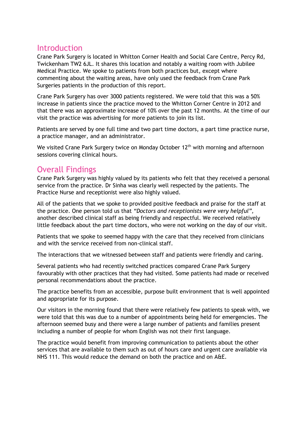## Introduction

Crane Park Surgery is located in Whitton Corner Health and Social Care Centre, Percy Rd, Twickenham TW2 6JL. It shares this location and notably a waiting room with Jubilee Medical Practice. We spoke to patients from both practices but, except where commenting about the waiting areas, have only used the feedback from Crane Park Surgeries patients in the production of this report.

Crane Park Surgery has over 3000 patients registered. We were told that this was a 50% increase in patients since the practice moved to the Whitton Corner Centre in 2012 and that there was an approximate increase of 10% over the past 12 months. At the time of our visit the practice was advertising for more patients to join its list.

Patients are served by one full time and two part time doctors, a part time practice nurse, a practice manager, and an administrator.

We visited Crane Park Surgery twice on Monday October 12<sup>th</sup> with morning and afternoon sessions covering clinical hours.

# Overall Findings

Crane Park Surgery was highly valued by its patients who felt that they received a personal service from the practice. Dr Sinha was clearly well respected by the patients. The Practice Nurse and receptionist were also highly valued.

All of the patients that we spoke to provided positive feedback and praise for the staff at the practice. One person told us that *"Doctors and receptionists were very helpful",*  another described clinical staff as being friendly and respectful. We received relatively little feedback about the part time doctors, who were not working on the day of our visit.

Patients that we spoke to seemed happy with the care that they received from clinicians and with the service received from non-clinical staff.

The interactions that we witnessed between staff and patients were friendly and caring.

Several patients who had recently switched practices compared Crane Park Surgery favourably with other practices that they had visited. Some patients had made or received personal recommendations about the practice.

The practice benefits from an accessible, purpose built environment that is well appointed and appropriate for its purpose.

Our visitors in the morning found that there were relatively few patients to speak with, we were told that this was due to a number of appointments being held for emergencies. The afternoon seemed busy and there were a large number of patients and families present including a number of people for whom English was not their first language.

The practice would benefit from improving communication to patients about the other services that are available to them such as out of hours care and urgent care available via NHS 111. This would reduce the demand on both the practice and on A&E.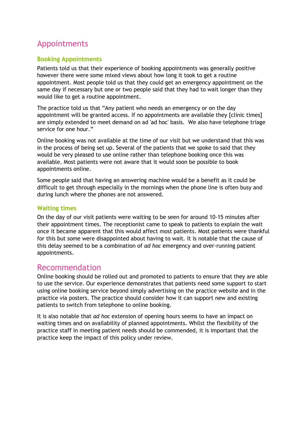## Appointments

#### **Booking Appointments**

Patients told us that their experience of booking appointments was generally positive however there were some mixed views about how long it took to get a routine appointment. Most people told us that they could get an emergency appointment on the same day if necessary but one or two people said that they had to wait longer than they would like to get a routine appointment.

The practice told us that "Any patient who needs an emergency or on the day appointment will be granted access. If no appointments are available they [clinic times] are simply extended to meet demand on ad 'ad hoc' basis. We also have telephone triage service for one hour."

Online booking was not available at the time of our visit but we understand that this was in the process of being set up. Several of the patients that we spoke to said that they would be very pleased to use online rather than telephone booking once this was available. Most patients were not aware that it would soon be possible to book appointments online.

Some people said that having an answering machine would be a benefit as it could be difficult to get through especially in the mornings when the phone line is often busy and during lunch where the phones are not answered.

#### **Waiting times**

On the day of our visit patients were waiting to be seen for around 10-15 minutes after their appointment times. The receptionist came to speak to patients to explain the wait once it became apparent that this would affect most patients. Most patients were thankful for this but some were disappointed about having to wait. It is notable that the cause of this delay seemed to be a combination of *ad hoc* emergency and over-running patient appointments.

## Recommendation

Online booking should be rolled out and promoted to patients to ensure that they are able to use the service. Our experience demonstrates that patients need some support to start using online booking service beyond simply advertising on the practice website and in the practice via posters. The practice should consider how it can support new and existing patients to switch from telephone to online booking.

It is also notable that *ad hoc* extension of opening hours seems to have an impact on waiting times and on availability of planned appointments. Whilst the flexibility of the practice staff in meeting patient needs should be commended, it is important that the practice keep the impact of this policy under review.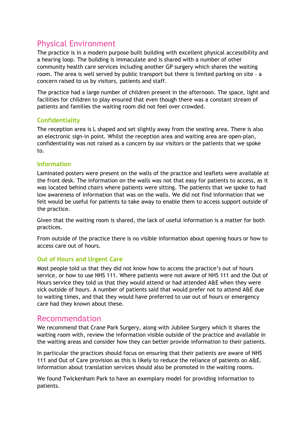# Physical Environment

The practice is in a modern purpose built building with excellent physical accessibility and a hearing loop. The building is immaculate and is shared with a number of other community health care services including another GP surgery which shares the waiting room. The area is well served by public transport but there is limited parking on site – a concern raised to us by visitors, patients and staff.

The practice had a large number of children present in the afternoon. The space, light and facilities for children to play ensured that even though there was a constant stream of patients and families the waiting room did not feel over crowded.

#### **Confidentiality**

The reception area is L shaped and set slightly away from the seating area. There is also an electronic sign-in point. Whilst the reception area and waiting area are open-plan, confidentiality was not raised as a concern by our visitors or the patients that we spoke to.

#### **Information**

Laminated posters were present on the walls of the practice and leaflets were available at the front desk. The information on the walls was not that easy for patients to access, as it was located behind chairs where patients were sitting. The patients that we spoke to had low awareness of information that was on the walls. We did not find information that we felt would be useful for patients to take away to enable them to access support outside of the practice.

Given that the waiting room is shared, the lack of useful information is a matter for both practices.

From outside of the practice there is no visible information about opening hours or how to access care out of hours.

#### **Out of Hours and Urgent Care**

Most people told us that they did not know how to access the practice's out of hours service, or how to use NHS 111. Where patients were not aware of NHS 111 and the Out of Hours service they told us that they would attend or had attended A&E when they were sick outside of hours. A number of patients said that would prefer not to attend A&E due to waiting times, and that they would have preferred to use out of hours or emergency care had they known about these.

### Recommendation

We recommend that Crane Park Surgery, along with Jubilee Surgery which it shares the waiting room with, review the information visible outside of the practice and available in the waiting areas and consider how they can better provide information to their patients.

In particular the practices should focus on ensuring that their patients are aware of NHS 111 and Out of Care provision as this is likely to reduce the reliance of patients on A&E. Information about translation services should also be promoted in the waiting rooms.

We found Twickenham Park to have an exemplary model for providing information to patients.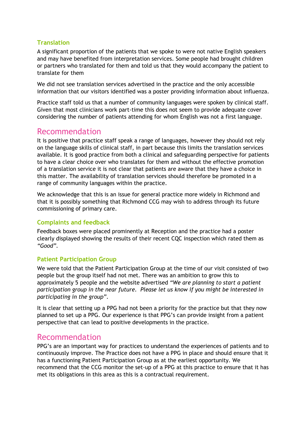#### **Translation**

A significant proportion of the patients that we spoke to were not native English speakers and may have benefited from interpretation services. Some people had brought children or partners who translated for them and told us that they would accompany the patient to translate for them

We did not see translation services advertised in the practice and the only accessible information that our visitors identified was a poster providing information about influenza.

Practice staff told us that a number of community languages were spoken by clinical staff. Given that most clinicians work part-time this does not seem to provide adequate cover considering the number of patients attending for whom English was not a first language.

### Recommendation

It is positive that practice staff speak a range of languages, however they should not rely on the language skills of clinical staff, in part because this limits the translation services available. It is good practice from both a clinical and safeguarding perspective for patients to have a clear choice over who translates for them and without the effective promotion of a translation service it is not clear that patients are aware that they have a choice in this matter. The availability of translation services should therefore be promoted in a range of community languages within the practice.

We acknowledge that this is an issue for general practice more widely in Richmond and that it is possibly something that Richmond CCG may wish to address through its future commissioning of primary care.

#### **Complaints and feedback**

Feedback boxes were placed prominently at Reception and the practice had a poster clearly displayed showing the results of their recent CQC inspection which rated them as *"Good"*.

#### **Patient Participation Group**

We were told that the Patient Participation Group at the time of our visit consisted of two people but the group itself had not met. There was an ambition to grow this to approximately 5 people and the website advertised *"We are planning to start a patient participation group in the near future. Please let us know if you might be interested in participating in the group"*.

It is clear that setting up a PPG had not been a priority for the practice but that they now planned to set up a PPG. Our experience is that PPG's can provide insight from a patient perspective that can lead to positive developments in the practice.

#### Recommendation

PPG's are an important way for practices to understand the experiences of patients and to continuously improve. The Practice does not have a PPG in place and should ensure that it has a functioning Patient Participation Group as at the earliest opportunity. We recommend that the CCG monitor the set-up of a PPG at this practice to ensure that it has met its obligations in this area as this is a contractual requirement.